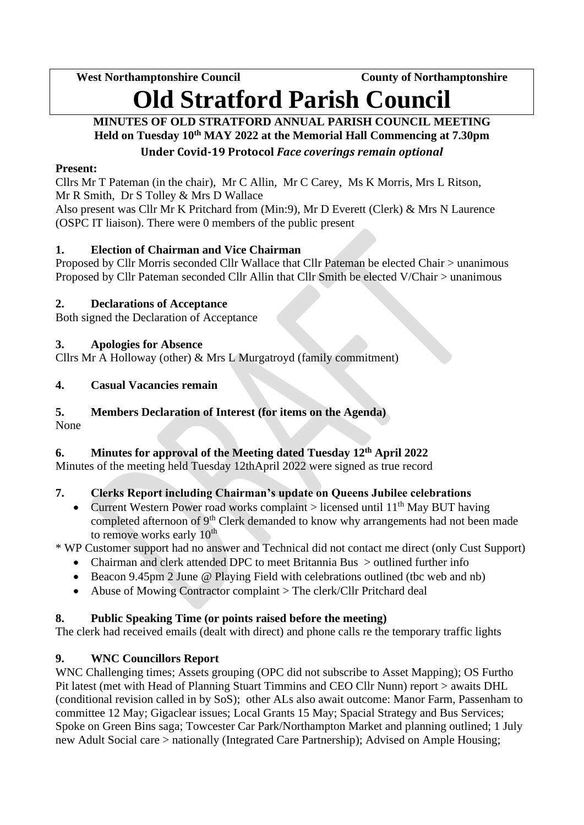**West Northamptonshire Council County of Northamptonshire**

# **Old Stratford Parish Council**

## **MINUTES OF OLD STRATFORD ANNUAL PARISH COUNCIL MEETING Held on Tuesday 10 th MAY 2022 at the Memorial Hall Commencing at 7.30pm Under Covid-19 Protocol** *Face coverings remain optional*

# **Present:**

Cllrs Mr T Pateman (in the chair), Mr C Allin, Mr C Carey, Ms K Morris, Mrs L Ritson, Mr R Smith, Dr S Tolley & Mrs D Wallace

Also present was Cllr Mr K Pritchard from (Min:9), Mr D Everett (Clerk) & Mrs N Laurence (OSPC IT liaison). There were 0 members of the public present

# **1. Election of Chairman and Vice Chairman**

Proposed by Cllr Morris seconded Cllr Wallace that Cllr Pateman be elected Chair > unanimous Proposed by Cllr Pateman seconded Cllr Allin that Cllr Smith be elected V/Chair > unanimous

# **2. Declarations of Acceptance**

Both signed the Declaration of Acceptance

# **3. Apologies for Absence**

Cllrs Mr A Holloway (other) & Mrs L Murgatroyd (family commitment)

# **4. Casual Vacancies remain**

# **5. Members Declaration of Interest (for items on the Agenda)**

None

# **6. Minutes for approval of the Meeting dated Tuesday 12th April 2022**

Minutes of the meeting held Tuesday 12thApril 2022 were signed as true record

# **7. Clerks Report including Chairman's update on Queens Jubilee celebrations**

Current Western Power road works complaint  $\geq$  licensed until 11<sup>th</sup> May BUT having completed afternoon of 9<sup>th</sup> Clerk demanded to know why arrangements had not been made to remove works early  $10<sup>th</sup>$ 

\* WP Customer support had no answer and Technical did not contact me direct (only Cust Support)

- Chairman and clerk attended DPC to meet Britannia Bus > outlined further info
- Beacon 9.45pm 2 June @ Playing Field with celebrations outlined (tbc web and nb)
- Abuse of Mowing Contractor complaint > The clerk/Cllr Pritchard deal

# **8. Public Speaking Time (or points raised before the meeting)**

The clerk had received emails (dealt with direct) and phone calls re the temporary traffic lights

# **9. WNC Councillors Report**

WNC Challenging times; Assets grouping (OPC did not subscribe to Asset Mapping); OS Furtho Pit latest (met with Head of Planning Stuart Timmins and CEO Cllr Nunn) report > awaits DHL (conditional revision called in by SoS); other ALs also await outcome: Manor Farm, Passenham to committee 12 May; Gigaclear issues; Local Grants 15 May; Spacial Strategy and Bus Services; Spoke on Green Bins saga; Towcester Car Park/Northampton Market and planning outlined; 1 July new Adult Social care > nationally (Integrated Care Partnership); Advised on Ample Housing;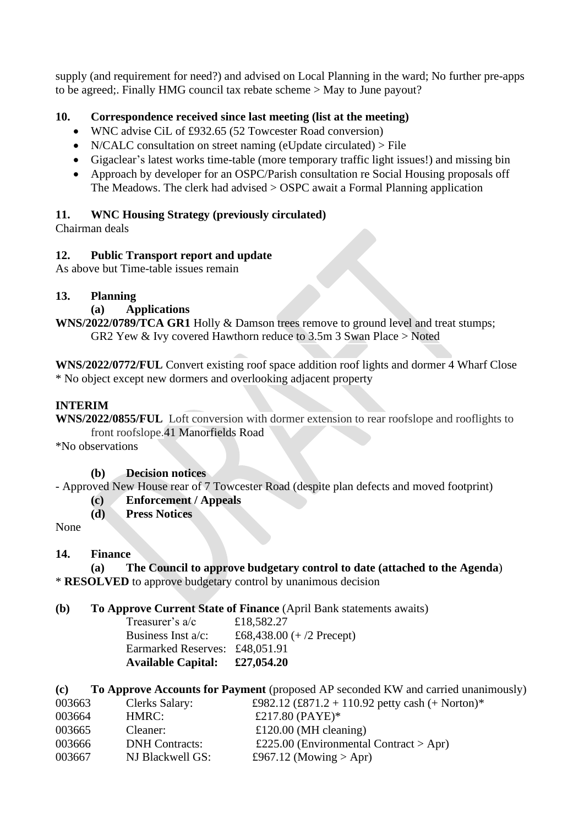supply (and requirement for need?) and advised on Local Planning in the ward; No further pre-apps to be agreed;. Finally HMG council tax rebate scheme > May to June payout?

## **10. Correspondence received since last meeting (list at the meeting)**

- WNC advise CiL of £932.65 (52 Towcester Road conversion)
- N/CALC consultation on street naming (eUpdate circulated) > File
- Gigaclear's latest works time-table (more temporary traffic light issues!) and missing bin
- Approach by developer for an OSPC/Parish consultation re Social Housing proposals off The Meadows. The clerk had advised > OSPC await a Formal Planning application

### **11. WNC Housing Strategy (previously circulated)**

Chairman deals

#### **12. Public Transport report and update**

As above but Time-table issues remain

#### **13. Planning**

**(a) Applications**

**WNS/2022/0789/TCA GR1** Holly & Damson trees remove to ground level and treat stumps; GR2 Yew & Ivy covered Hawthorn reduce to 3.5m 3 Swan Place > Noted

**[WNS/2022/0772/FUL](https://snc.planning-register.co.uk/Planning/Display/WNS/2022/0772/FUL)** Convert existing roof space addition roof lights and dormer 4 Wharf Close \* No object except new dormers and overlooking adjacent property

#### **INTERIM**

**WNS/2022/0855/FUL** Loft conversion with dormer extension to rear roofslope and rooflights to front roofslope.41 Manorfields Road

\*No observations

#### **(b) Decision notices**

- Approved New House rear of 7 Towcester Road (despite plan defects and moved footprint)

- **(c) Enforcement / Appeals**
- **(d) Press Notices**

None

#### **14. Finance**

**(a) The Council to approve budgetary control to date (attached to the Agenda**) \* **RESOLVED** to approve budgetary control by unanimous decision

#### **(b) To Approve Current State of Finance** (April Bank statements awaits)

Treasurer's a/c £18,582.27 Business Inst a/c:  $£68,438.00 (+/2$  Precept) Earmarked Reserves: £48,051.91 **Available Capital: £27,054.20**

**(c) To Approve Accounts for Payment** (proposed AP seconded KW and carried unanimously)

| 003663 | <b>Clerks Salary:</b> | £982.12 (£871.2 + 110.92 petty cash (+ Norton)* |
|--------|-----------------------|-------------------------------------------------|
| 003664 | HMRC:                 | £217.80 (PAYE)*                                 |
| 003665 | Cleaner:              | £120.00 (MH cleaning)                           |
| 003666 | <b>DNH</b> Contracts: | £225.00 (Environmental Contract > Apr)          |
| 003667 | NJ Blackwell GS:      | £967.12 (Mowing $>$ Apr)                        |
|        |                       |                                                 |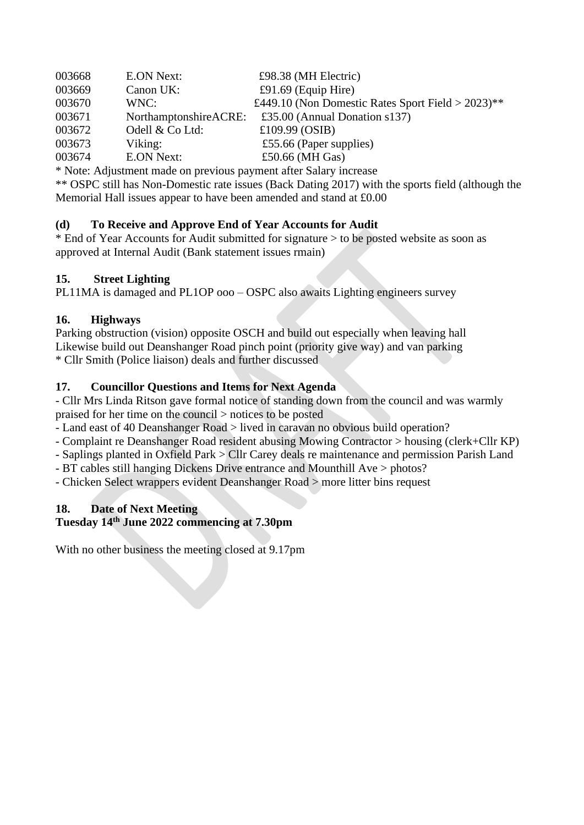| 003668 | <b>E.ON Next:</b>     | £98.38 (MH Electric)                                 |
|--------|-----------------------|------------------------------------------------------|
| 003669 | Canon UK:             | £91.69 (Equip Hire)                                  |
| 003670 | WNC:                  | £449.10 (Non Domestic Rates Sport Field > $2023$ )** |
| 003671 | NorthamptonshireACRE: | £35.00 (Annual Donation $s137$ )                     |
| 003672 | Odell & Co Ltd:       | £109.99 (OSIB)                                       |
| 003673 | Viking:               | £55.66 (Paper supplies)                              |
| 003674 | <b>E.ON Next:</b>     | £50.66 (MH Gas)                                      |

\* Note: Adjustment made on previous payment after Salary increase

\*\* OSPC still has Non-Domestic rate issues (Back Dating 2017) with the sports field (although the Memorial Hall issues appear to have been amended and stand at £0.00

### **(d) To Receive and Approve End of Year Accounts for Audit**

\* End of Year Accounts for Audit submitted for signature > to be posted website as soon as approved at Internal Audit (Bank statement issues rmain)

### **15. Street Lighting**

PL11MA is damaged and PL1OP ooo – OSPC also awaits Lighting engineers survey

# **16. Highways**

Parking obstruction (vision) opposite OSCH and build out especially when leaving hall Likewise build out Deanshanger Road pinch point (priority give way) and van parking \* Cllr Smith (Police liaison) deals and further discussed

# **17. Councillor Questions and Items for Next Agenda**

- Cllr Mrs Linda Ritson gave formal notice of standing down from the council and was warmly praised for her time on the council > notices to be posted

- Land east of 40 Deanshanger Road > lived in caravan no obvious build operation?

- Complaint re Deanshanger Road resident abusing Mowing Contractor > housing (clerk+Cllr KP)

- Saplings planted in Oxfield Park > Cllr Carey deals re maintenance and permission Parish Land

- BT cables still hanging Dickens Drive entrance and Mounthill Ave > photos?
- Chicken Select wrappers evident Deanshanger Road > more litter bins request

# **18. Date of Next Meeting**

# **Tuesday 14 th June 2022 commencing at 7.30pm**

With no other business the meeting closed at 9.17pm